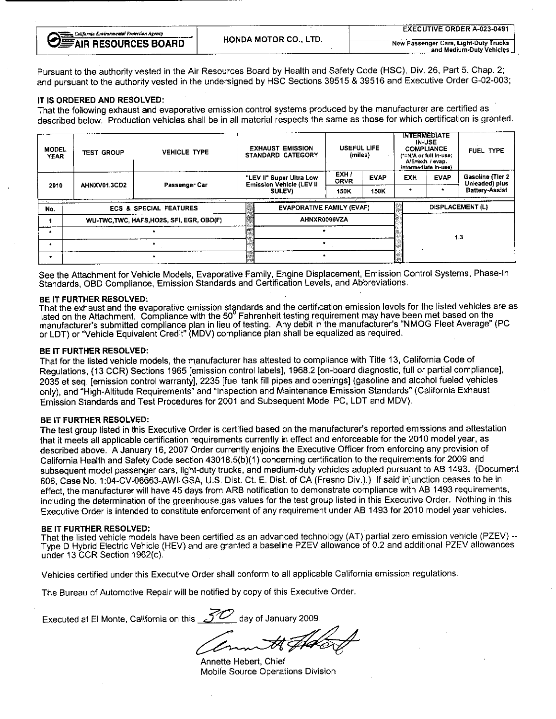| California Environmental Protection Agency |                       | <b>EXECUTIVE ORDER A-023-0491</b>     |
|--------------------------------------------|-----------------------|---------------------------------------|
| <b>DEFAIR RESOURCES BOARD</b>              | HONDA MOTOR CO., LTD. | New Passenger Cars, Light-Duty Trucks |
|                                            |                       | and Medium-Duty Vehicles              |

Pursuant to the authority vested in the Air Resources Board by Health and Safety Code (HSC), Div. 26, Part 5, Chap. 2; and pursuant to the authority vested in the undersigned by HSC Sections 39515 & 39516 and Executive Order G-02-003;

## IT IS ORDERED AND RESOLVED:

That the following exhaust and evaporative emission control systems produced by the manufacturer are certified as described below. Production vehicles shall be in all material respects the same as those for which certification is granted.

| <b>MODEL</b><br><b>YEAR</b> | <b>VEHICLE TYPE</b><br><b>TEST GROUP</b> |                                                                                                                                                                                                                                                                    | <b>EXHAUST EMISSION</b><br><b>STANDARD CATEGORY</b>  | <b>USEFUL LIFE</b><br>(miles)                  |             |            | <b>INTERMEDIATE</b><br><b>IN-USE</b><br><b>COMPLIANCE</b><br>(*=N/A or full in-use;<br>A/E=exh / evap.<br>intermediate in-use) | FUEL TYPE                                               |  |
|-----------------------------|------------------------------------------|--------------------------------------------------------------------------------------------------------------------------------------------------------------------------------------------------------------------------------------------------------------------|------------------------------------------------------|------------------------------------------------|-------------|------------|--------------------------------------------------------------------------------------------------------------------------------|---------------------------------------------------------|--|
|                             | AHNXV01 3CD2                             | Passenger Car                                                                                                                                                                                                                                                      | "LEV II" Super Ultra Low<br>Emission Vehicle (LEV II | EXH <sub>1</sub><br><b>ORVR</b>                | <b>EVAP</b> | <b>EXH</b> | <b>EVAP</b>                                                                                                                    | Gasoline (Tier 2<br>Unleaded) plus                      |  |
| 2010                        |                                          |                                                                                                                                                                                                                                                                    | SULEV)                                               | 150K                                           | 150K        | ۰          |                                                                                                                                | <b>Battery-Assist</b><br>The Committee of the Committee |  |
| No.                         |                                          | a construction of the construction of the construction of the construction of the construction of the construction of the construction of the construction of the construction of the construction of the construction of the<br><b>ECS &amp; SPECIAL FEATURES</b> | .<br>EVAPORATIVE FAMILY (EVAF)                       | and the<br>The Corporation<br>DISPLACEMENT (L) |             |            |                                                                                                                                |                                                         |  |
|                             |                                          | WU-TWC.TWC, HAFS, HO2S, SFI, EGR, OBD(F)                                                                                                                                                                                                                           | AHNXR0096VZA                                         |                                                |             |            |                                                                                                                                |                                                         |  |
|                             |                                          |                                                                                                                                                                                                                                                                    |                                                      |                                                |             |            |                                                                                                                                | 1,3                                                     |  |
|                             |                                          |                                                                                                                                                                                                                                                                    |                                                      |                                                |             |            |                                                                                                                                |                                                         |  |
| ۰                           |                                          |                                                                                                                                                                                                                                                                    |                                                      |                                                |             |            |                                                                                                                                |                                                         |  |

See the Attachment for Vehicle Models, Evaporative Family, Engine Displacement, Emission Control Systems, Phase-In Standards, OBD Compliance, Emission Standards and Certification Levels, and Abbreviations.

# BE IT FURTHER RESOLVED:

That the exhaust and the evaporative emission standards and the certification emission levels for the listed vehicles are as listed on the Attachment. Compliance with the  $50$  Fahrenheit testing requirement may have been met been metal. manufacturer's submitted compliance plan in lieu of testing. Any debit in the manufacturer's "NMOG Fleet Average" (PC or LDT) or "Vehicle Equivalent Credit" (MDV) compliance plan shall be equalized as required.

### BE IT FURTHER RESOLVED:

That for the listed vehicle models, the manufacturer has attested to compliance with Title 13, California Code of Regulations, (13 CCR) Sections 1965 [emission control labels], 1968.2 [on-board diagnostic, full or partial compliance],<br>2035 et seg. [emission control warranty], 2235 [fuel tank fill pipes and openings] (gasoline and alco 2035 et seq. [emission control warranty], 2235 [fuel tank fill pipes and openings] (gasoline and alcohol fueled vehicles only), and "High-Altitude Requirements" and "Inspection and Maintenance Emission Standards" (California Exhaust Emission Standards and Test Procedures for 2001 and Subsequent Model PC, LDT and MDV).

BE IT FURTHER RESOLVED:<br>The test group listed in this Executive Order is certified based on the manufacturer's reported emissions and attestation The test group listed in this Executive Order is certified based on the manufacturer's reported emissions and attestation that it meets all applicable certification requirements currently in effect and enforceable for the 2010 model year, as described above. A January 16, 2007 Order currently enjoins the Executive Officer from enforcing any provision of California Health and Safety Code section 43018.5(b)(1) concerning certification to the requirements for 2009 and subsequent model passenger cars, light-duty trucks, and medium-duty vehicles adopted pursuant to AB 1493. (Document 606, Case No. 1:04-CV-06663-AWI-GSA, U.S. Dist. Ct. E. Dist. of CA (Fresno Div.).) If said injunction ceases to be in effect, the manufacturer will have 45 days from ARB notification to demonstrate compliance with AB 1493 requirements, including the determination of the greenhouse gas values for the test group listed in this Executive Order. Nothing in this Executive Order is intended to constitute enforcement of any requirement under AB 1493 for 2010 model year vehicles.

BE IT FURTHER RESOLVED:<br>That the listed vehicle models have been certified as an advanced technology (AT) partial zero emission vehicle (PZEV) --That the listed vehicle models have been certified as an advanced technology (AT) partial zero emission vehicle (PZEV) -- Type D Hybrid Electric Vehicle (HEV) and are granted a baseline PZEV allowance of 0.2 and additional PZEV allowance under 13 CCR Section 1962(c).

Vehicles certified under this Executive Order shall conform to all applicable California emission regulations.

The Bureau of Automotive Repair will be notified by copy of this Executive Order.

Executed at El Monte, California on this  $\mathcal{Z}_2$  day of January 2009.

Annette Hebert, Chief Mobile Source Operations Division